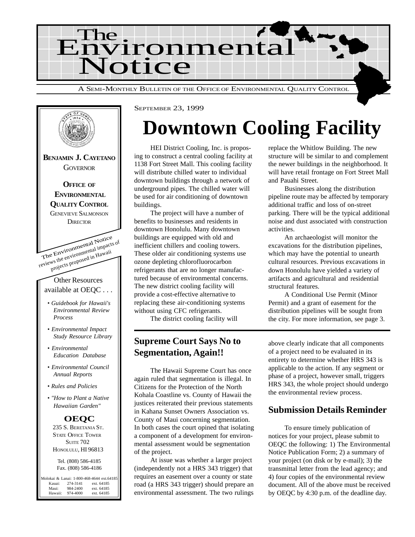



# **Downtown Cooling Facility**

HEI District Cooling, Inc. is proposing to construct a central cooling facility at 1138 Fort Street Mall. This cooling facility will distribute chilled water to individual downtown buildings through a network of underground pipes. The chilled water will be used for air conditioning of downtown buildings.

The project will have a number of benefits to businesses and residents in downtown Honolulu. Many downtown buildings are equipped with old and inefficient chillers and cooling towers. These older air conditioning systems use ozone depleting chlorofluorocarbon refrigerants that are no longer manufactured because of environmental concerns. The new district cooling facility will provide a cost-effective alternative to replacing these air-conditioning systems without using CFC refrigerants.

The district cooling facility will

### **Supreme Court Says No to Segmentation, Again!!**

The Hawaii Supreme Court has once again ruled that segmentation is illegal. In Citizens for the Protection of the North Kohala Coastline vs. County of Hawaii the justices reiterated their previous statements in Kahana Sunset Owners Association vs. County of Maui concerning segmentation. In both cases the court opined that isolating a component of a development for environmental assessment would be segmentation of the project.

At issue was whether a larger project (independently not a HRS 343 trigger) that requires an easement over a county or state road (a HRS 343 trigger) should prepare an environmental assessment. The two rulings

replace the Whitlow Building. The new structure will be similar to and complement the newer buildings in the neighborhood. It will have retail frontage on Fort Street Mall and Pauahi Street.

Businesses along the distribution pipeline route may be affected by temporary additional traffic and loss of on-street parking. There will be the typical additional noise and dust associated with construction activities.

An archaeologist will monitor the excavations for the distribution pipelines, which may have the potential to unearth cultural resources. Previous excavations in down Honolulu have yielded a variety of artifacts and agricultural and residential structural features.

A Conditional Use Permit (Minor Permit) and a grant of easement for the distribution pipelines will be sought from the city. For more information, see page 3.

above clearly indicate that all components of a project need to be evaluated in its entirety to determine whether HRS 343 is applicable to the action. If any segment or phase of a project, however small, triggers HRS 343, the whole project should undergo the environmental review process.

### **Submission Details Reminder**

To ensure timely publication of notices for your project, please submit to OEQC the following: 1) The Environmental Notice Publication Form; 2) a summary of your project (on disk or by e-mail); 3) the transmittal letter from the lead agency; and 4) four copies of the environmental review document. All of the above must be received by OEQC by 4:30 p.m. of the deadline day.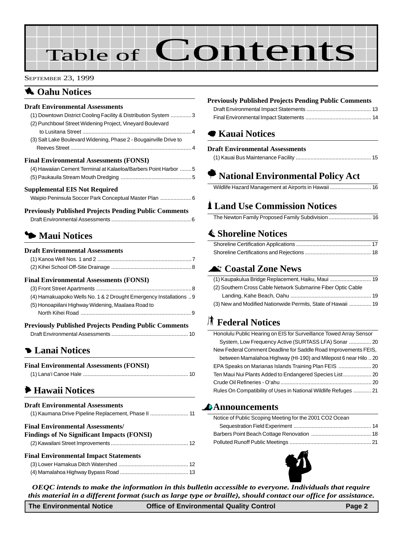# Table of Contents

#### SEPTEMBER 23, 1999

### **1** Oahu Notices

#### **Draft Environmental Assessments**

| (1) Downtown District Cooling Facility & Distribution System  3   |   |
|-------------------------------------------------------------------|---|
| (2) Punchbowl Street Widening Project, Vineyard Boulevard         |   |
|                                                                   |   |
| (3) Salt Lake Boulevard Widening, Phase 2 - Bougainville Drive to |   |
|                                                                   |   |
| Final Environmental Assessments (FONSI)                           |   |
| (4) Hawaiian Cement Terminal at Kalaeloa/Barbers Point Harbor  5  |   |
|                                                                   |   |
| Supplemental EIS Not Required                                     |   |
| Waipio Peninsula Soccer Park Conceptual Master Plan  6            |   |
| Previously Published Projects Pending Public Comments             |   |
| Draft Environmental Assessments                                   | ี |

### 3 **Maui Notices**

### **Draft Environmental Assessments** [\(1\) Kanoa Well Nos. 1 and 2 ...............................................................7](#page-7-0) [\(2\) Kihei School Off-Site Drainage ......................................................8](#page-8-0)

#### **Final Environmental Assessments (FONSI)**

| (4) Hamakuapoko Wells No. 1 & 2 Drought Emergency Installations  9 |
|--------------------------------------------------------------------|
| (5) Honoapiilani Highway Widening, Maalaea Road to                 |
|                                                                    |
|                                                                    |

#### **Previously Published Projects Pending Public Comments** [Draft Environmental Assessments .................................................... 10](#page-10-0)

### 4 **[Lanai Notices](#page-10-0)**

| <b>Final Environmental Assessments (FONSI)</b> |  |
|------------------------------------------------|--|
|                                                |  |

### 6 **[Hawaii Notices](#page-11-0)**

| <b>Draft Environmental Assessments</b><br>(1) Kaumana Drive Pipeline Replacement, Phase II  11 |
|------------------------------------------------------------------------------------------------|
| <b>Final Environmental Assessments/</b><br><b>Findings of No Significant Impacts (FONSI)</b>   |
| <b>Final Environmental Impact Statements</b>                                                   |

### [\(4\) Mamalahoa Highway Bypass Road](#page-13-0) .............................................. 13

#### **Previously Published Projects Pending Public Comments**

### 7 **Kauai Notices**

#### **Draft Environmental Assessments**

|--|--|

### A **[National Environmental Policy Act](#page-16-0)**

|--|--|--|

### \* **Land Use Commission Notices**

|--|--|

### s **[Shoreline Notices](#page-17-0)**

### ^ **[Coastal Zone News](#page-19-0)**

| (2) Southern Cross Cable Network Submarine Fiber Optic Cable |  |
|--------------------------------------------------------------|--|
|                                                              |  |
| (3) New and Modified Nationwide Permits, State of Hawaii  19 |  |

### S **Federal Notices**

| Honolulu Public Hearing on EIS for Surveillance Towed Array Sensor |
|--------------------------------------------------------------------|
| System, Low Frequency Active (SURTASS LFA) Sonar  20               |
| New Federal Comment Deadline for Saddle Road Improvements FEIS.    |
| between Mamalahoa Highway (HI-190) and Milepost 6 near Hilo  20    |
|                                                                    |
|                                                                    |
|                                                                    |
| Rules On Compatibility of Uses in National Wildlife Refuges  21    |

#### **Announcements**

| Notice of Public Scoping Meeting for the 2001 CO2 Ocean |  |
|---------------------------------------------------------|--|
|                                                         |  |
|                                                         |  |
|                                                         |  |



*OEQC intends to make the information in this bulletin accessible to everyone. Individuals that require this material in a different format (such as large type or braille), should contact our office for assistance.*

**The Environmental Notice Office of Environmental Quality Control Page 2**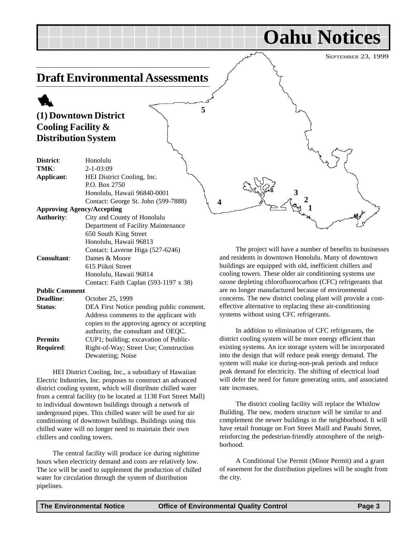### SEPTEMBER 23, 1999 **Oahu Notices Draft Environmental Assessments** 1 **(1) Downtown District Cooling Facility & Distribution System District**: Honolulu **TMK**: 2-1-03:09 **Applicant**: HEI District Cooling, Inc. P.O. Box 2750 Honolulu, Hawaii 96840-0001 Contact: George St. John (599-7888) **Approving Agency/Accepting Authority**: City and County of Honolulu Department of Facility Maintenance 650 South King Street Honolulu, Hawaii 96813 Contact: Laverne Higa (527-6246) The project will have a number of benefits to businesses **2 3 5**  $4$   $3$   $4$   $4$   $1$

and residents in downtown Honolulu. Many of downtown buildings are equipped with old, inefficient chillers and cooling towers. These older air conditioning systems use ozone depleting chlorofluorocarbon (CFC) refrigerants that are no longer manufactured because of environmental concerns. The new district cooling plant will provide a costeffective alternative to replacing these air-conditioning systems without using CFC refrigerants.

In addition to elimination of CFC refrigerants, the district cooling system will be more energy efficient than existing systems. An ice storage system will be incorporated into the design that will reduce peak energy demand. The system will make ice during-non-peak periods and reduce peak demand for electricity. The shifting of electrical load will defer the need for future generating units, and associated rate increases.

The district cooling facility will replace the Whitlow Building. The new, modern structure will be similar to and complement the newer buildings in the neighborhood. It will have retail frontage on Fort Street Maill and Pauahi Street, reinforcing the pedestrian-friendly atmosphere of the neighborhood.

A Conditional Use Permit (Minor Permit) and a grant of easement for the distribution pipelines will be sought from the city.

| I VIK :                           | 2-1-03:09                                   |
|-----------------------------------|---------------------------------------------|
| Applicant:                        | HEI District Cooling, Inc.                  |
|                                   | P.O. Box 2750                               |
|                                   | Honolulu, Hawaii 96840-0001                 |
|                                   | Contact: George St. John (599-7888)         |
| <b>Approving Agency/Accepting</b> |                                             |
| <b>Authority:</b>                 | City and County of Honolulu                 |
|                                   | Department of Facility Maintenance          |
|                                   | 650 South King Street                       |
|                                   | Honolulu, Hawaii 96813                      |
|                                   | Contact: Laverne Higa (527-6246)            |
| <b>Consultant:</b>                | Dames & Moore                               |
|                                   | 615 Piikoi Street                           |
|                                   | Honolulu, Hawaii 96814                      |
|                                   | Contact: Faith Caplan (593-1197 x 38)       |
| <b>Public Comment</b>             |                                             |
| <b>Deadline:</b>                  | October 25, 1999                            |
| Status:                           | DEA First Notice pending public comment.    |
|                                   | Address comments to the applicant with      |
|                                   | copies to the approving agency or accepting |
|                                   | authority, the consultant and OEQC.         |
| <b>Permits</b>                    | CUP1; building; excavation of Public-       |
| Required:                         | Right-of-Way; Street Use; Construction      |
|                                   | Dewatering; Noise                           |

HEI District Cooling, Inc., a subsidiary of Hawaiian Electric Industries, Inc. proposes to construct an advanced district cooling system, which will distribute chilled water from a central facility (to be located at 1138 Fort Street Mall) to individual downtown buildings through a network of underground pipes. This chilled water will be used for air conditioning of downtown buildings. Buildings using this chilled water will no longer need to maintain their own chillers and cooling towers.

The central facility will produce ice during nighttime hours when electricity demand and costs are relatively low. The ice will be used to supplement the production of chilled water for circulation through the system of distribution pipelines.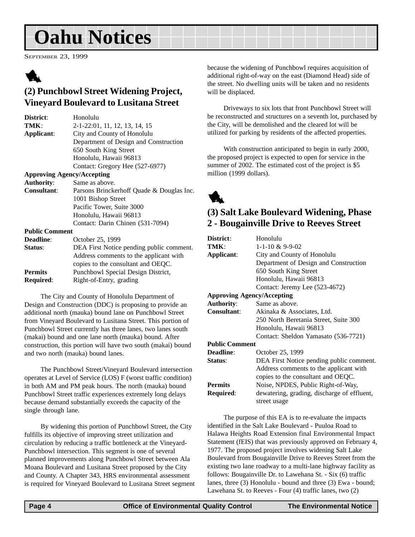# **Oahu Notices**

SEPTEMBER 23, 1999



### **(2) Punchbowl Street Widening Project, Vineyard Boulevard to Lusitana Street**

| District:             | Honolulu                                  |
|-----------------------|-------------------------------------------|
| TMK:                  | 2-1-22:01, 11, 12, 13, 14, 15             |
| Applicant:            | City and County of Honolulu               |
|                       | Department of Design and Construction     |
|                       | 650 South King Street                     |
|                       | Honolulu, Hawaii 96813                    |
|                       | Contact: Gregory Hee (527-6977)           |
|                       | <b>Approving Agency/Accepting</b>         |
| <b>Authority:</b>     | Same as above.                            |
| Consultant:           | Parsons Brinckerhoff Quade & Douglas Inc. |
|                       | 1001 Bishop Street                        |
|                       | Pacific Tower, Suite 3000                 |
|                       | Honolulu, Hawaii 96813                    |
|                       | Contact: Darin Chinen (531-7094)          |
| <b>Public Comment</b> |                                           |
| <b>Deadline:</b>      | October 25, 1999                          |
| Status:               | DEA First Notice pending public comment.  |
|                       | Address comments to the applicant with    |

|                  | Address comments to the applicant with |
|------------------|----------------------------------------|
|                  | copies to the consultant and OEQC.     |
| Permits          | Punchbowl Special Design District,     |
| <b>Required:</b> | Right-of-Entry, grading                |
|                  |                                        |

The City and County of Honolulu Department of Design and Construction (DDC) is proposing to provide an additional north (mauka) bound lane on Punchbowl Street from Vineyard Boulevard to Lusitana Street. This portion of Punchbowl Street currently has three lanes, two lanes south (makai) bound and one lane north (mauka) bound. After construction, this portion will have two south (makai) bound and two north (mauka) bound lanes.

The Punchbowl Street/Vineyard Boulevard intersection operates at Level of Service (LOS) F (worst traffic condition) in both AM and PM peak hours. The north (mauka) bound Punchbowl Street traffic experiences extremely long delays because demand substantially exceeds the capacity of the single through lane.

By widening this portion of Punchbowl Street, the City fulfills its objective of improving street utilization and circulation by reducing a traffic bottleneck at the Vineyard-Punchbowl intersection. This segment is one of several planned improvements along Punchbowl Street between Ala Moana Boulevard and Lusitana Street proposed by the City and County. A Chapter 343, HRS environmental assessment is required for Vineyard Boulevard to Lusitana Street segment because the widening of Punchbowl requires acquisition of additional right-of-way on the east (Diamond Head) side of the street. No dwelling units will be taken and no residents will be displaced.

Driveways to six lots that front Punchbowl Street will be reconstructed and structures on a seventh lot, purchased by the City, will be demolished and the cleared lot will be utilized for parking by residents of the affected properties.

With construction anticipated to begin in early 2000, the proposed project is expected to open for service in the summer of 2002. The estimated cost of the project is \$5 million (1999 dollars).



### **(3) Salt Lake Boulevard Widening, Phase 2 - Bougainville Drive to Reeves Street**

| District:                         | Honolulu                                    |
|-----------------------------------|---------------------------------------------|
| TMK:                              | $1 - 1 - 10 & 9 - 9 - 02$                   |
| Applicant:                        | City and County of Honolulu                 |
|                                   | Department of Design and Construction       |
|                                   | 650 South King Street                       |
|                                   | Honolulu, Hawaii 96813                      |
|                                   | Contact: Jeremy Lee (523-4672)              |
| <b>Approving Agency/Accepting</b> |                                             |
| <b>Authority:</b>                 | Same as above.                              |
| Consultant:                       | Akinaka & Associates, Ltd.                  |
|                                   | 250 North Beretania Street, Suite 300       |
|                                   | Honolulu, Hawaii 96813                      |
|                                   | Contact: Sheldon Yamasato (536-7721)        |
| <b>Public Comment</b>             |                                             |
| <b>Deadline:</b>                  | October 25, 1999                            |
| Status:                           | DEA First Notice pending public comment.    |
|                                   | Address comments to the applicant with      |
|                                   | copies to the consultant and OEQC.          |
| <b>Permits</b>                    | Noise, NPDES, Public Right-of-Way,          |
| Required:                         | dewatering, grading, discharge of effluent, |
|                                   | street usage                                |
|                                   |                                             |

The purpose of this EA is to re-evaluate the impacts identified in the Salt Lake Boulevard - Puuloa Road to Halawa Heights Road Extension final Environmental Impact Statement (fEIS) that was previously approved on February 4, 1977. The proposed project involves widening Salt Lake Boulevard from Bougainville Drive to Reeves Street from the existing two lane roadway to a multi-lane highway facility as follows: Bougainville Dr. to Lawehana St. - Six (6) traffic lanes, three (3) Honolulu - bound and three (3) Ewa - bound; Lawehana St. to Reeves - Four (4) traffic lanes, two (2)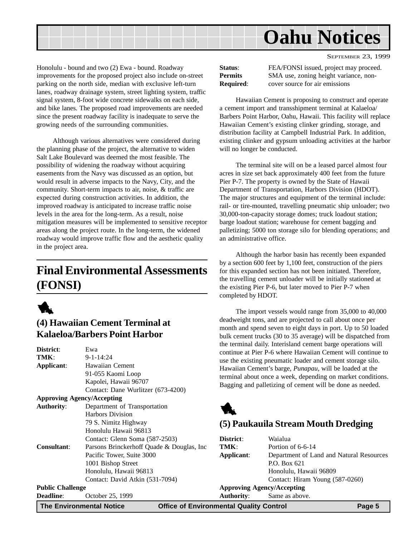<span id="page-4-0"></span>

Honolulu - bound and two (2) Ewa - bound. Roadway improvements for the proposed project also include on-street parking on the north side, median with exclusive left-turn lanes, roadway drainage system, street lighting system, traffic signal system, 8-foot wide concrete sidewalks on each side, and bike lanes. The proposed road improvements are needed since the present roadway facility is inadequate to serve the growing needs of the surrounding communities.

Although various alternatives were considered during the planning phase of the project, the alternative to widen Salt Lake Boulevard was deemed the most feasible. The possibility of widening the roadway without acquiring easements from the Navy was discussed as an option, but would result in adverse impacts to the Navy, City, and the community. Short-term impacts to air, noise, & traffic are expected during construction activities. In addition, the improved roadway is anticipated to increase traffic noise levels in the area for the long-term. As a result, noise mitigation measures will be implemented to sensitive receptor areas along the project route. In the long-term, the widened roadway would improve traffic flow and the aesthetic quality in the project area.

# **Final Environmental Assessments (FONSI)**



### **(4) Hawaiian Cement Terminal at Kalaeloa/Barbers Point Harbor**

| District:                         | Ewa                                        |
|-----------------------------------|--------------------------------------------|
| TMK:                              | $9 - 1 - 14:24$                            |
| Applicant:                        | <b>Hawaiian Cement</b>                     |
|                                   | 91-055 Kaomi Loop                          |
|                                   | Kapolei, Hawaii 96707                      |
|                                   | Contact: Dane Wurlitzer (673-4200)         |
| <b>Approving Agency/Accepting</b> |                                            |
| <b>Authority:</b>                 | Department of Transportation               |
|                                   | <b>Harbors Division</b>                    |
|                                   | 79 S. Nimitz Highway                       |
|                                   | Honolulu Hawaii 96813                      |
|                                   | Contact: Glenn Soma (587-2503)             |
| <b>Consultant:</b>                | Parsons Brinckerhoff Quade & Douglas, Inc. |
|                                   | Pacific Tower, Suite 3000                  |
|                                   | 1001 Bishop Street                         |
|                                   | Honolulu, Hawaii 96813                     |
|                                   | Contact: David Atkin (531-7094)            |
| <b>Public Challenge</b>           |                                            |
| <b>Deadline:</b>                  | October 25, 1999                           |

| Status:          |  |
|------------------|--|
| <b>Permits</b>   |  |
| <b>Required:</b> |  |

FEA/FONSI issued, project may proceed. **SMA** use, zoning height variance, noncover source for air emissions

Hawaiian Cement is proposing to construct and operate a cement import and transshipment terminal at Kalaeloa/ Barbers Point Harbor, Oahu, Hawaii. This facility will replace Hawaiian Cement's existing clinker grinding, storage, and distribution facility at Campbell Industrial Park. In addition, existing clinker and gypsum unloading activities at the harbor will no longer be conducted.

The terminal site will on be a leased parcel almost four acres in size set back approximately 400 feet from the future Pier P-7. The property is owned by the State of Hawaii Department of Transportation, Harbors Division (HDOT). The major structures and equipment of the terminal include: rail- or tire-mounted, travelling pneumatic ship unloader; two 30,000-ton-capacity storage domes; truck loadout station; barge loadout station; warehouse for cement bagging and palletizing; 5000 ton storage silo for blending operations; and an administrative office.

Although the harbor basin has recently been expanded by a section 600 feet by 1,100 feet, construction of the piers for this expanded section has not been initiated. Therefore, the travelling cement unloader will be initially stationed at the existing Pier P-6, but later moved to Pier P-7 when completed by HDOT.

The import vessels would range from 35,000 to 40,000 deadweight tons, and are projected to call about once per month and spend seven to eight days in port. Up to 50 loaded bulk cement trucks (30 to 35 average) will be dispatched from the terminal daily. Interisland cement barge operations will continue at Pier P-6 where Hawaiian Cement will continue to use the existing pneumatic loader and cement storage silo. Hawaiian Cement's barge, *Punapau*, will be loaded at the terminal about once a week, depending on market conditions. Bagging and palletizing of cement will be done as needed.



### **(5) Paukauila Stream Mouth Dredging**

| District:                         | Waialua                                  |
|-----------------------------------|------------------------------------------|
| TMK:                              | Portion of 6-6-14                        |
| Applicant:                        | Department of Land and Natural Resources |
|                                   | P.O. Box 621                             |
|                                   | Honolulu, Hawaii 96809                   |
|                                   | Contact: Hiram Young (587-0260)          |
| <b>Approving Agency/Accepting</b> |                                          |
| <b>Authority:</b>                 | Same as above.                           |
|                                   |                                          |

**The Environmental Notice Office of Environmental Quality Control Page 5**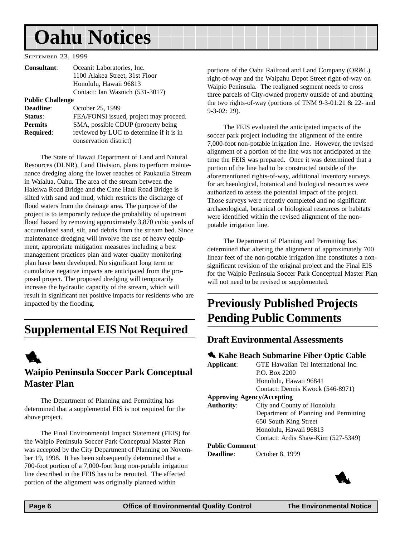# <span id="page-5-0"></span>**Oahu Notices**

SEPTEMBER 23, 1999

| <b>Consultant:</b>      | Oceanit Laboratories, Inc.               |
|-------------------------|------------------------------------------|
|                         | 1100 Alakea Street, 31st Floor           |
|                         | Honolulu, Hawaii 96813                   |
|                         | Contact: Ian Wasnich (531-3017)          |
| <b>Public Challenge</b> |                                          |
| <b>Deadline:</b>        | October 25, 1999                         |
| Status:                 | FEA/FONSI issued, project may proceed.   |
| <b>Permits</b>          | SMA, possible CDUP (property being)      |
| <b>Required:</b>        | reviewed by LUC to determine if it is in |

conservation district)

The State of Hawaii Department of Land and Natural Resources (DLNR), Land Division, plans to perform maintenance dredging along the lower reaches of Paukauila Stream in Waialua, Oahu. The area of the stream between the Haleiwa Road Bridge and the Cane Haul Road Bridge is silted with sand and mud, which restricts the discharge of flood waters from the drainage area. The purpose of the project is to temporarily reduce the probability of upstream flood hazard by removing approximately 3,870 cubic yards of accumulated sand, silt, and debris from the stream bed. Since maintenance dredging will involve the use of heavy equipment, appropriate mitigation measures including a best management practices plan and water quality monitoring plan have been developed. No significant long term or cumulative negative impacts are anticipated from the proposed project. The proposed dredging will temporarily increase the hydraulic capacity of the stream, which will result in significant net positive impacts for residents who are impacted by the flooding.

### **Supplemental EIS Not Required**



### **Waipio Peninsula Soccer Park Conceptual Master Plan**

The Department of Planning and Permitting has determined that a supplemental EIS is not required for the above project.

The Final Environmental Impact Statement (FEIS) for the Waipio Peninsula Soccer Park Conceptual Master Plan was accepted by the City Department of Planning on November 19, 1998. It has been subsequently determined that a 700-foot portion of a 7,000-foot long non-potable irrigation line described in the FEIS has to be rerouted. The affected portion of the alignment was originally planned within

portions of the Oahu Railroad and Land Company (OR&L) right-of-way and the Waipahu Depot Street right-of-way on Waipio Peninsula. The realigned segment needs to cross three parcels of City-owned property outside of and abutting the two rights-of-way (portions of TNM 9-3-01:21 & 22- and 9-3-02: 29).

The FEIS evaluated the anticipated impacts of the soccer park project including the alignment of the entire 7,000-foot non-potable irrigation line. However, the revised alignment of a portion of the line was not anticipated at the time the FEIS was prepared. Once it was determined that a portion of the line had to be constructed outside of the aforementioned rights-of-way, additional inventory surveys for archaeological, botanical and biological resources were authorized to assess the potential impact of the project. Those surveys were recently completed and no significant archaeological, botanical or biological resources or habitats were identified within the revised alignment of the nonpotable irrigation line.

The Department of Planning and Permitting has determined that altering the alignment of approximately 700 linear feet of the non-potable irrigation line constitutes a nonsignificant revision of the original project and the Final EIS for the Waipio Peninsula Soccer Park Conceptual Master Plan will not need to be revised or supplemented.

### **Previously Published Projects Pending Public Comments**

### **Draft Environmental Assessments**

### $\triangle$  **Kahe Beach Submarine Fiber Optic Cable**

| Applicant:        | GTE Hawaiian Tel International Inc.   |
|-------------------|---------------------------------------|
|                   | P.O. Box 2200                         |
|                   | Honolulu, Hawaii 96841                |
|                   | Contact: Dennis Kwock (546-8971)      |
|                   | <b>Approving Agency/Accepting</b>     |
| <b>Authority:</b> | City and County of Honolulu           |
|                   | Department of Planning and Permitting |
|                   | 650 South King Street                 |
|                   | Honolulu, Hawaii 96813                |

Contact: Ardis Shaw-Kim (527-5349)

#### **Public Comment**

**Deadline**: October 8, 1999

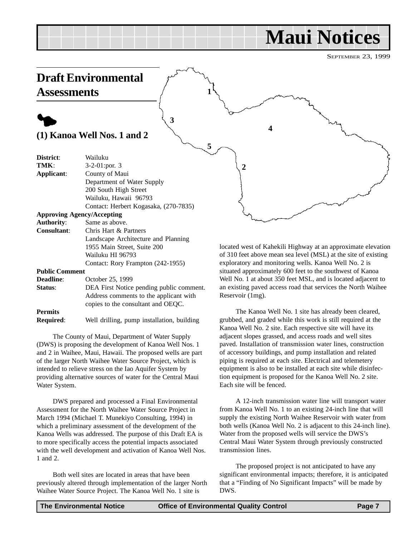# **Maui Notices**

SEPTEMBER 23, 1999

<span id="page-6-0"></span>

**Required**: Well drilling, pump installation, building

The County of Maui, Department of Water Supply (DWS) is proposing the development of Kanoa Well Nos. 1 and 2 in Waihee, Maui, Hawaii. The proposed wells are part of the larger North Waihee Water Source Project, which is intended to relieve stress on the Iao Aquifer System by providing alternative sources of water for the Central Maui Water System.

DWS prepared and processed a Final Environmental Assessment for the North Waihee Water Source Project in March 1994 (Michael T. Munekiyo Consulting, 1994) in which a preliminary assessment of the development of the Kanoa Wells was addressed. The purpose of this Draft EA is to more specifically access the potential impacts associated with the well development and activation of Kanoa Well Nos. 1 and 2.

Both well sites are located in areas that have been previously altered through implementation of the larger North Waihee Water Source Project. The Kanoa Well No. 1 site is

grubbed, and graded while this work is still required at the Kanoa Well No. 2 site. Each respective site will have its adjacent slopes grassed, and access roads and well sites paved. Installation of transmission water lines, construction of accessory buildings, and pump installation and related piping is required at each site. Electrical and telemetery equipment is also to be installed at each site while disinfection equipment is proposed for the Kanoa Well No. 2 site. Each site will be fenced.

A 12-inch transmission water line will transport water from Kanoa Well No. 1 to an existing 24-inch line that will supply the existing North Waihee Reservoir with water from both wells (Kanoa Well No. 2 is adjacent to this 24-inch line). Water from the proposed wells will service the DWS's Central Maui Water System through previously constructed transmission lines.

The proposed project is not anticipated to have any significant environmental impacts; therefore, it is anticipated that a "Finding of No Significant Impacts" will be made by DWS.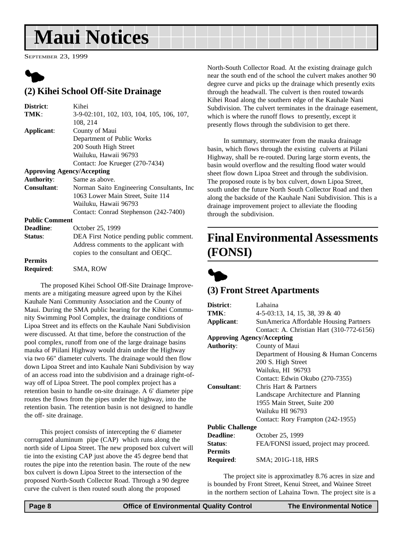# <span id="page-7-0"></span>**Maui Notices**

SEPTEMBER 23, 1999



### **(2) Kihei School Off-Site Drainage**

| District:             | Kihei                                      |
|-----------------------|--------------------------------------------|
| TMK:                  | 3-9-02:101, 102, 103, 104, 105, 106, 107,  |
|                       | 108, 214                                   |
| Applicant:            | County of Maui                             |
|                       | Department of Public Works                 |
|                       | 200 South High Street                      |
|                       | Wailuku, Hawaii 96793                      |
|                       | Contact: Joe Krueger (270-7434)            |
|                       | <b>Approving Agency/Accepting</b>          |
| <b>Authority:</b>     | Same as above.                             |
| <b>Consultant:</b>    | Norman Saito Engineering Consultants, Inc. |
|                       | 1063 Lower Main Street, Suite 114          |
|                       | Wailuku, Hawaii 96793                      |
|                       | Contact: Conrad Stephenson (242-7400)      |
| <b>Public Comment</b> |                                            |
| Deadline:             | October 25, 1999                           |
| Status:               | DEA First Notice pending public comment.   |
|                       | Address comments to the applicant with     |
|                       | copies to the consultant and OEQC.         |
| <b>Permits</b>        |                                            |
| Required:             | SMA, ROW                                   |

The proposed Kihei School Off-Site Drainage Improvements are a mitigating measure agreed upon by the Kihei Kauhale Nani Community Association and the County of Maui. During the SMA public hearing for the Kihei Community Swimming Pool Complex, the drainage conditions of Lipoa Street and its effects on the Kauhale Nani Subdivision were discussed. At that time, before the construction of the pool complex, runoff from one of the large drainage basins mauka of Piilani Highway would drain under the Highway via two 66" diameter culverts. The drainage would then flow down Lipoa Street and into Kauhale Nani Subdivision by way of an access road into the subdivision and a drainage right-ofway off of Lipoa Street. The pool complex project has a retention basin to handle on-site drainage. A 6' diameter pipe routes the flows from the pipes under the highway, into the retention basin. The retention basin is not designed to handle the off- site drainage.

This project consists of intercepting the 6' diameter corrugated aluminum pipe (CAP) which runs along the north side of Lipoa Street. The new proposed box culvert will tie into the existing CAP just above the 45 degree bend that routes the pipe into the retention basin. The route of the new box culvert is down Lipoa Street to the intersection of the proposed North-South Collector Road. Through a 90 degree curve the culvert is then routed south along the proposed

North-South Collector Road. At the existing drainage gulch near the south end of the school the culvert makes another 90 degree curve and picks up the drainage which presently exits through the headwall. The culvert is then routed towards Kihei Road along the southern edge of the Kauhale Nani Subdivision. The culvert terminates in the drainage easement, which is where the runoff flows to presently, except it presently flows through the subdivision to get there.

In summary, stormwater from the mauka drainage basin, which flows through the existing culverts at Piilani Highway, shall be re-routed. During large storm events, the basin would overflow and the resulting flood water would sheet flow down Lipoa Street and through the subdivision. The proposed route is by box culvert, down Lipoa Street, south under the future North South Collector Road and then along the backside of the Kauhale Nani Subdivision. This is a drainage improvement project to alleviate the flooding through the subdivision.

### **Final Environmental Assessments (FONSI)**



### **(3) Front Street Apartments**

| District:                         | Lahaina                                   |
|-----------------------------------|-------------------------------------------|
| TMK:                              | $4-5-03:13$ , 14, 15, 38, 39 & 40         |
| Applicant:                        | SunAmerica Affordable Housing Partners    |
|                                   | Contact: A. Christian Hart (310-772-6156) |
| <b>Approving Agency/Accepting</b> |                                           |
| <b>Authority:</b>                 | County of Maui                            |
|                                   | Department of Housing & Human Concerns    |
|                                   | 200 S. High Street                        |
|                                   | Wailuku, HI 96793                         |
|                                   | Contact: Edwin Okubo (270-7355)           |
| Consultant:                       | Chris Hart & Partners                     |
|                                   | Landscape Architecture and Planning       |
|                                   | 1955 Main Street, Suite 200               |
|                                   | Wailuku HI 96793                          |
|                                   | Contact: Rory Frampton (242-1955)         |
| <b>Public Challenge</b>           |                                           |
| <b>Deadline:</b>                  | October 25, 1999                          |
| Status:                           | FEA/FONSI issued, project may proceed.    |
| <b>Permits</b>                    |                                           |
| Required:                         | SMA; 201G-118, HRS                        |
|                                   |                                           |

The project site is approximatley 8.76 acres in size and is bounded by Front Street, Kenui Street, and Wainee Street in the northern section of Lahaina Town. The project site is a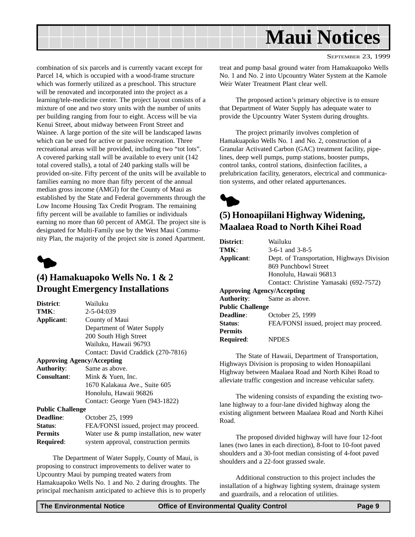<span id="page-8-0"></span>

combination of six parcels and is currently vacant except for Parcel 14, which is occupied with a wood-frame structure which was formerly utilized as a preschool. This structure will be renovated and incorporated into the project as a learning/tele-medicine center. The project layout consists of a mixture of one and two story units with the number of units per building ranging from four to eight. Access will be via Kenui Street, about midway between Front Street and Wainee. A large portion of the site will be landscaped lawns which can be used for active or passive recreation. Three recreational areas will be provided, including two "tot lots". A covered parking stall will be available to every unit (142 total covered stalls), a total of 240 parking stalls will be provided on-site. Fifty percent of the units will be available to families earning no more than fifty percent of the annual median gross income (AMGI) for the County of Maui as established by the State and Federal governments through the Low Income Housing Tax Credit Program. The remaining fifty percent will be available to families or individuals earning no more than 60 percent of AMGI. The project site is designated for Multi-Family use by the West Maui Community Plan, the majority of the project site is zoned Apartment.



### **(4) Hamakuapoko Wells No. 1 & 2 Drought Emergency Installations**

| District:               | Wailuku                                     |
|-------------------------|---------------------------------------------|
| TMK:                    | $2 - 5 - 04:039$                            |
| Applicant:              | County of Maui                              |
|                         | Department of Water Supply                  |
|                         | 200 South High Street                       |
|                         | Wailuku, Hawaii 96793                       |
|                         | Contact: David Craddick (270-7816)          |
|                         | <b>Approving Agency/Accepting</b>           |
| <b>Authority:</b>       | Same as above.                              |
| <b>Consultant:</b>      | Mink & Yuen, Inc.                           |
|                         | 1670 Kalakaua Ave., Suite 605               |
|                         | Honolulu, Hawaii 96826                      |
|                         | Contact: George Yuen (943-1822)             |
| <b>Public Challenge</b> |                                             |
| <b>Deadline:</b>        | October 25, 1999                            |
| Status:                 | FEA/FONSI issued, project may proceed.      |
| <b>Permits</b>          | Water use $\&$ pump installation, new water |
| <b>Required:</b>        | system approval, construction permits       |

The Department of Water Supply, County of Maui, is proposing to construct improvements to deliver water to Upcountry Maui by pumping treated waters from Hamakuapoko Wells No. 1 and No. 2 during droughts. The principal mechanism anticipated to achieve this is to properly SEPTEMBER 23, 1999

treat and pump basal ground water from Hamakuapoko Wells No. 1 and No. 2 into Upcountry Water System at the Kamole Weir Water Treatment Plant clear well.

The proposed action's primary objective is to ensure that Department of Water Supply has adequate water to provide the Upcountry Water System during droughts.

The project primarily involves completion of Hamakuapoko Wells No. 1 and No. 2, construction of a Granular Activated Carbon (GAC) treatment facility, pipelines, deep well pumps, pump stations, booster pumps, control tanks, control stations, disinfection facilites, a prelubrication facility, generators, electrical and communication systems, and other related appurtenances.



### **(5) Honoapiilani Highway Widening, Maalaea Road to North Kihei Road**

| District:                         | Wailuku                                    |
|-----------------------------------|--------------------------------------------|
| TMK:                              | $3-6-1$ and $3-8-5$                        |
| Applicant:                        | Dept. of Transportation, Highways Division |
|                                   | 869 Punchbowl Street                       |
|                                   | Honolulu, Hawaii 96813                     |
|                                   | Contact: Christine Yamasaki (692-7572)     |
| <b>Approving Agency/Accepting</b> |                                            |
| Authority:                        | Same as above.                             |
| <b>Public Challenge</b>           |                                            |
| Deadline:                         | October 25, 1999                           |
| Status:                           | FEA/FONSI issued, project may proceed.     |
| <b>Permits</b>                    |                                            |
| <b>Required:</b>                  | <b>NPDES</b>                               |

The State of Hawaii, Department of Transportation, Highways Division is proposing to widen Honoapiilani Highway between Maalaea Road and North Kihei Road to alleviate traffic congestion and increase vehicular safety.

The widening consists of expanding the existing twolane highway to a four-lane divided highway along the existing alignment between Maalaea Road and North Kihei Road.

The proposed divided highway will have four 12-foot lanes (two lanes in each direction), 8-foot to 10-foot paved shoulders and a 30-foot median consisting of 4-foot paved shoulders and a 22-foot grassed swale.

Additional construction to this project includes the installation of a highway lighting system, drainage system and guardrails, and a relocation of utilities.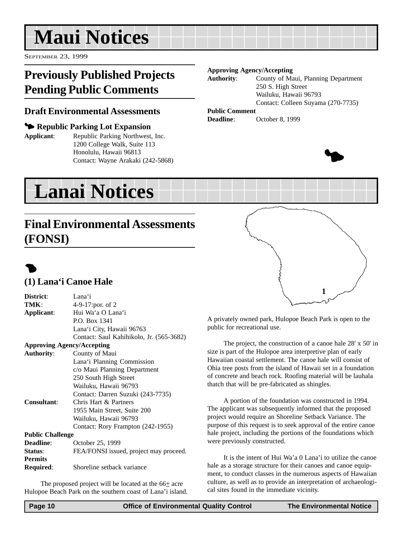# <span id="page-9-0"></span>**Maui Notices**

SEPTEMBER 23, 1999

# **Previously Published Projects Pending Public Comments**

### **Draft Environmental Assessments**

### 3 **Republic Parking Lot Expansion**

**Applicant**: Republic Parking Northwest, Inc. 1200 College Walk, Suite 113 Honolulu, Hawaii 96813 Contact: Wayne Arakaki (242-5868)

#### **Approving Agency/Accepting**

**Authority**: County of Maui, Planning Department 250 S. High Street Wailuku, Hawaii 96793 Contact: Colleen Suyama (270-7735)

### **Public Comment**

**Deadline**: October 8, 1999



# **Lanai Notices**

### **Final Environmental Assessments (FONSI)**

# $\bullet$

### **(1) Lana'i Canoe Hale**

| District:                         | Lana'i                                   |
|-----------------------------------|------------------------------------------|
| TMK:                              | 4-9-17:por. of 2                         |
| Applicant:                        | Hui Wa'a O Lana'i                        |
|                                   | P.O. Box 1341                            |
|                                   | Lana'i City, Hawaii 96763                |
|                                   | Contact: Saul Kahihikolo, Jr. (565-3682) |
| <b>Approving Agency/Accepting</b> |                                          |
| <b>Authority:</b>                 | County of Maui                           |
|                                   | Lana'i Planning Commission               |
|                                   | c/o Maui Planning Department             |
|                                   | 250 South High Street                    |
|                                   | Wailuku, Hawaii 96793                    |
|                                   | Contact: Darren Suzuki (243-7735)        |
| <b>Consultant:</b>                | Chris Hart & Partners                    |
|                                   | 1955 Main Street, Suite 200              |
|                                   | Wailuku, Hawaii 96793                    |
|                                   | Contact: Rory Frampton (242-1955)        |
| <b>Public Challenge</b>           |                                          |
| <b>Deadline:</b>                  | October 25, 1999                         |
| Status:                           | FEA/FONSI issued, project may proceed.   |
| <b>Permits</b>                    |                                          |
| Required:                         | Shoreline setback variance               |

The proposed project will be located at the  $66<sub>±</sub>$  acre Hulopoe Beach Park on the southern coast of Lana'i island.



A privately owned park, Hulopoe Beach Park is open to the public for recreational use.

The project, the construction of a canoe hale 28' x 50' in size is part of the Hulopoe area interpretive plan of early Hawaiian coastal settlement. The canoe hale will consist of Ohia tree posts from the island of Hawaii set in a foundation of concrete and beach rock. Roofing material will be lauhala thatch that will be pre-fabricated as shingles.

A portion of the foundation was constructed in 1994. The applicant was subsequently informed that the proposed project would require an Shoreline Setback Variance. The purpose of this request is to seek approval of the entire canoe hale project, including the portions of the foundations which were previously constructed.

It is the intent of Hui Wa'a 0 Lana'i to utilize the canoe hale as a storage structure for their canoes and canoe equipment, to conduct classes in the numerous aspects of Hawaiian culture, as well as to provide an interpretation of archaeological sites found in the immediate vicinity.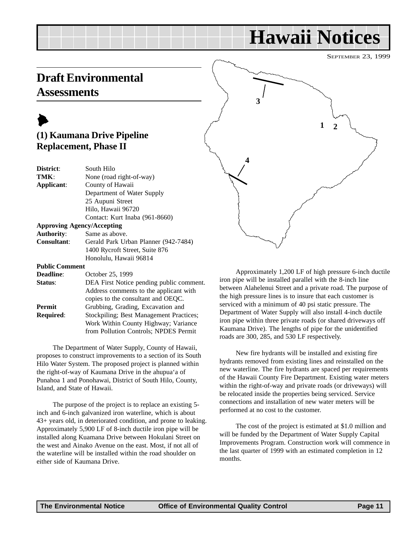# **Hawaii Notices**

SEPTEMBER 23, 1999

### <span id="page-10-0"></span>**Draft Environmental Assessments**

### $\blacktriangleright$ **(1) Kaumana Drive Pipeline Replacement, Phase II**

| District:                         | South Hilo                           |
|-----------------------------------|--------------------------------------|
| TMK:                              | None (road right-of-way)             |
| Applicant:                        | County of Hawaii                     |
|                                   | Department of Water Supply           |
|                                   | 25 Aupuni Street                     |
|                                   | Hilo, Hawaii 96720                   |
|                                   | Contact: Kurt Inaba (961-8660)       |
| <b>Approving Agency/Accepting</b> |                                      |
| <b>Authority:</b>                 | Same as above.                       |
| <b>Consultant:</b>                | Gerald Park Urban Planner (942-7484) |
|                                   | 1400 Rycroft Street, Suite 876       |

**Public Comment**

**Deadline**: October 25, 1999

| <b>Status:</b>   | DEA First Notice pending public comment. |
|------------------|------------------------------------------|
|                  | Address comments to the applicant with   |
|                  | copies to the consultant and OEQC.       |
| Permit           | Grubbing, Grading, Excavation and        |
| <b>Required:</b> | Stockpiling; Best Management Practices;  |
|                  | Work Within County Highway; Variance     |
|                  | from Pollution Controls; NPDES Permit    |
|                  |                                          |

Honolulu, Hawaii 96814

The Department of Water Supply, County of Hawaii, proposes to construct improvements to a section of its South Hilo Water System. The proposed project is planned within the right-of-way of Kaumana Drive in the ahupua'a of Punahoa 1 and Ponohawai, District of South Hilo, County, Island, and State of Hawaii.

The purpose of the project is to replace an existing 5 inch and 6-inch galvanized iron waterline, which is about 43+ years old, in deteriorated condition, and prone to leaking. Approximately 5,900 LF of 8-inch ductile iron pipe will be installed along Kuamana Drive between Hokulani Street on the west and Ainako Avenue on the east. Most, if not all of the waterline will be installed within the road shoulder on either side of Kaumana Drive.



Approximately 1,200 LF of high pressure 6-inch ductile iron pipe will be installed parallel with the 8-inch line between Alahelenui Street and a private road. The purpose of the high pressure lines is to insure that each customer is serviced with a minimum of 40 psi static pressure. The Department of Water Supply will also install 4-inch ductile iron pipe within three private roads (or shared driveways off Kaumana Drive). The lengths of pipe for the unidentified roads are 300, 285, and 530 LF respectively.

New fire hydrants will be installed and existing fire hydrants removed from existing lines and reinstalled on the new waterline. The fire hydrants are spaced per requirements of the Hawaii County Fire Department. Existing water meters within the right-of-way and private roads (or driveways) will be relocated inside the properties being serviced. Service connections and installation of new water meters will be performed at no cost to the customer.

The cost of the project is estimated at \$1.0 million and will be funded by the Department of Water Supply Capital Improvements Program. Construction work will commence in the last quarter of 1999 with an estimated completion in 12 months.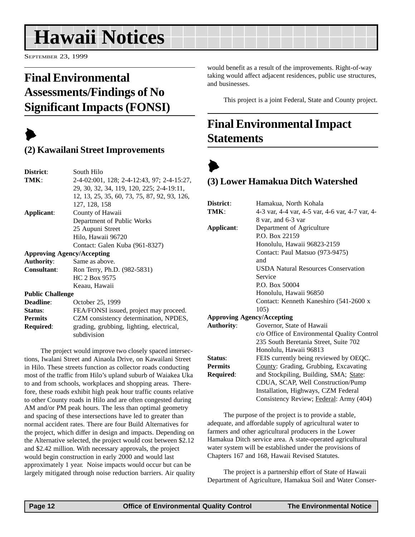# <span id="page-11-0"></span>**Hawaii Notices**

SEPTEMBER 23, 1999

# **Final Environmental Assessments/Findings of No Significant Impacts (FONSI)**

# $\blacktriangleright$

### **(2) Kawailani Street Improvements**

| District:                         | South Hilo                                              |  |
|-----------------------------------|---------------------------------------------------------|--|
| TMK:                              | 2-4-02:001, 128; 2-4-12:43, 97; 2-4-15:27,              |  |
|                                   | 29, 30, 32, 34, 119, 120, 225; 2-4-19:11,               |  |
|                                   | 12, 13, 25, 35, 60, 73, 75, 87, 92, 93, 126,            |  |
|                                   | 127, 128, 158                                           |  |
| Applicant:                        | County of Hawaii                                        |  |
|                                   | Department of Public Works                              |  |
|                                   | 25 Aupuni Street                                        |  |
|                                   | Hilo, Hawaii 96720                                      |  |
|                                   | Contact: Galen Kuba (961-8327)                          |  |
| <b>Approving Agency/Accepting</b> |                                                         |  |
| <b>Authority:</b>                 | Same as above.                                          |  |
| <b>Consultant:</b>                | Ron Terry, Ph.D. (982-5831)                             |  |
|                                   | HC 2 Box 9575                                           |  |
|                                   | Keaau, Hawaii                                           |  |
| <b>Public Challenge</b>           |                                                         |  |
| Deadline:                         | October 25, 1999                                        |  |
| Status:                           | FEA/FONSI issued, project may proceed.                  |  |
| <b>Permits</b>                    | CZM consistency determination, NPDES,                   |  |
| Required:                         | grading, grubbing, lighting, electrical,<br>subdivision |  |

The project would improve two closely spaced intersections, Iwalani Street and Ainaola Drive, on Kawailani Street in Hilo. These streets function as collector roads conducting most of the traffic from Hilo's upland suburb of Waiakea Uka to and from schools, workplaces and shopping areas. Therefore, these roads exhibit high peak hour traffic counts relative to other County roads in Hilo and are often congested during AM and/or PM peak hours. The less than optimal geometry and spacing of these intersections have led to greater than normal accident rates. There are four Build Alternatives for the project, which differ in design and impacts. Depending on the Alternative selected, the project would cost between \$2.12 and \$2.42 million. With necessary approvals, the project would begin construction in early 2000 and would last approximately 1 year. Noise impacts would occur but can be largely mitigated through noise reduction barriers. Air quality would benefit as a result of the improvements. Right-of-way taking would affect adjacent residences, public use structures, and businesses.

This project is a joint Federal, State and County project.

# **Final Environmental Impact Statements**

### $\blacktriangleright$ **(3) Lower Hamakua Ditch Watershed**

| District:         | Hamakua, North Kohala                           |
|-------------------|-------------------------------------------------|
| TMK:              | 4-3 var, 4-4 var, 4-5 var, 4-6 var, 4-7 var, 4- |
|                   | 8 var, and 6-3 var                              |
| Applicant:        | Department of Agriculture                       |
|                   | P.O. Box 22159                                  |
|                   | Honolulu, Hawaii 96823-2159                     |
|                   | Contact: Paul Matsuo (973-9475)                 |
|                   | and                                             |
|                   | <b>USDA Natural Resources Conservation</b>      |
|                   | Service                                         |
|                   | P.O. Box 50004                                  |
|                   | Honolulu, Hawaii 96850                          |
|                   | Contact: Kenneth Kaneshiro (541-2600 x          |
|                   | 105)                                            |
|                   | <b>Approving Agency/Accepting</b>               |
| <b>Authority:</b> | Governor, State of Hawaii                       |
|                   | c/o Office of Environmental Quality Control     |
|                   | 235 South Beretania Street, Suite 702           |
|                   | Honolulu, Hawaii 96813                          |
| Status:           | FEIS currently being reviewed by OEQC.          |
| <b>Permits</b>    | County: Grading, Grubbing, Excavating           |
| <b>Required:</b>  | and Stockpiling, Building, SMA; State:          |
|                   | CDUA, SCAP, Well Construction/Pump              |
|                   | Installation Highways CZM Federal               |

Installation, Highways, CZM Federal Consistency Review; Federal: Army (404) The purpose of the project is to provide a stable,

adequate, and affordable supply of agricultural water to farmers and other agricultural producers in the Lower Hamakua Ditch service area. A state-operated agricultural water system will be established under the provisions of Chapters 167 and 168, Hawaii Revised Statutes.

The project is a partnership effort of State of Hawaii Department of Agriculture, Hamakua Soil and Water Conser-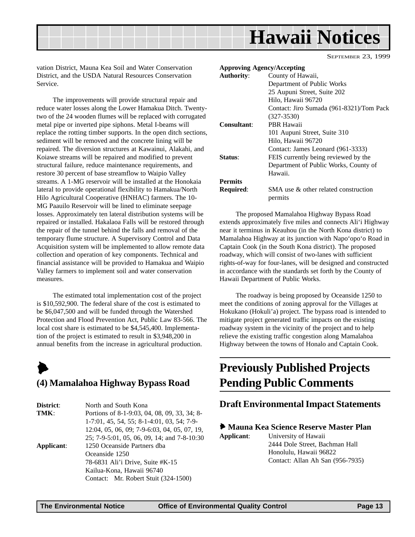<span id="page-12-0"></span>

vation District, Mauna Kea Soil and Water Conservation District, and the USDA Natural Resources Conservation Service.

The improvements will provide structural repair and reduce water losses along the Lower Hamakua Ditch. Twentytwo of the 24 wooden flumes will be replaced with corrugated metal pipe or inverted pipe siphons. Metal I-beams will replace the rotting timber supports. In the open ditch sections, sediment will be removed and the concrete lining will be repaired. The diversion structures at Kawainui, Alakahi, and Koiawe streams will be repaired and modified to prevent structural failure, reduce maintenance requirements, and restore 30 percent of base streamflow to Waipio Valley streams. A 1-MG reservoir will be installed at the Honokaia lateral to provide operational flexibility to Hamakua/North Hilo Agricultural Cooperative (HNHAC) farmers. The 10- MG Paauilo Reservoir will be lined to eliminate seepage losses. Approximately ten lateral distribution systems will be repaired or installed. Hakalaoa Falls will be restored through the repair of the tunnel behind the falls and removal of the temporary flume structure. A Supervisory Control and Data Acquisition system will be implemented to allow remote data collection and operation of key components. Technical and financial assistance will be provided to Hamakua and Waipio Valley farmers to implement soil and water conservation measures.

The estimated total implementation cost of the project is \$10,592,900. The federal share of the cost is estimated to be \$6,047,500 and will be funded through the Watershed Protection and Flood Prevention Act, Public Law 83-566. The local cost share is estimated to be \$4,545,400. Implementation of the project is estimated to result in \$3,948,200 in annual benefits from the increase in agricultural production.



### **(4) Mamalahoa Highway Bypass Road**

| District:  | North and South Kona                         |
|------------|----------------------------------------------|
| TMK:       | Portions of 8-1-9:03, 04, 08, 09, 33, 34; 8- |
|            | $1-7:01, 45, 54, 55; 8-1-4:01, 03, 54; 7-9-$ |
|            | 12:04, 05, 06, 09; 7-9-6:03, 04, 05, 07, 19, |
|            | 25; 7-9-5:01, 05, 06, 09, 14; and 7-8-10:30  |
| Applicant: | 1250 Oceanside Partners dba                  |
|            | Oceanside 1250                               |
|            | 78-6831 Ali'i Drive, Suite #K-15             |
|            | Kailua-Kona, Hawaii 96740                    |
|            | Contact: Mr. Robert Stuit (324-1500)         |

| <b>Approving Agency/Accepting</b> |                                                 |
|-----------------------------------|-------------------------------------------------|
| <b>Authority:</b>                 | County of Hawaii,                               |
|                                   | Department of Public Works                      |
|                                   | 25 Aupuni Street, Suite 202                     |
|                                   | Hilo, Hawaii 96720                              |
|                                   | Contact: Jiro Sumada (961-8321)/Tom Pack        |
|                                   | $(327 - 3530)$                                  |
| <b>Consultant:</b>                | PBR Hawaii                                      |
|                                   | 101 Aupuni Street, Suite 310                    |
|                                   | Hilo, Hawaii 96720                              |
|                                   | Contact: James Leonard (961-3333)               |
| <b>Status:</b>                    | FEIS currently being reviewed by the            |
|                                   | Department of Public Works, County of           |
|                                   | Hawaii.                                         |
| <b>Permits</b>                    |                                                 |
| Required:                         | SMA use & other related construction<br>permits |
|                                   |                                                 |

The proposed Mamalahoa Highway Bypass Road extends approximately five miles and connects Ali'i Highway near it terminus in Keauhou (in the North Kona district) to Mamalahoa Highway at its junction with Napo'opo'o Road in Captain Cook (in the South Kona district). The proposed roadway, which will consist of two-lanes with sufficient rights-of-way for four-lanes, will be designed and constructed in accordance with the standards set forth by the County of Hawaii Department of Public Works.

The roadway is being proposed by Oceanside 1250 to meet the conditions of zoning approval for the Villages at Hokukano (Hokuli'a) project. The bypass road is intended to mitigate project generated traffic impacts on the existing roadway system in the vicinity of the project and to help relieve the existing traffic congestion along Mamalahoa Highway between the towns of Honalo and Captain Cook.

### **Previously Published Projects Pending Public Comments**

### **Draft Environmental Impact Statements**

#### 6 **Mauna Kea Science Reserve Master Plan**

**Applicant**: University of Hawaii 2444 Dole Street, Bachman Hall Honolulu, Hawaii 96822 Contact: Allan Ah San (956-7935)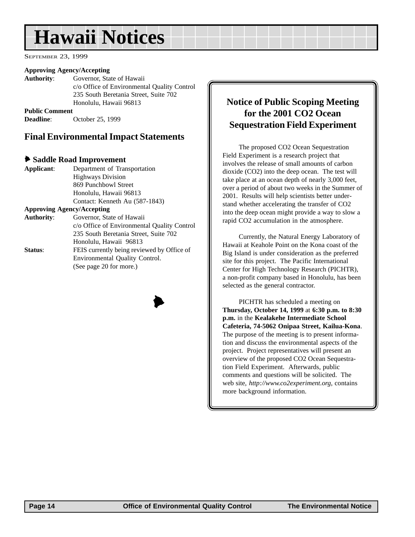# <span id="page-13-0"></span>**Hawaii Notices**

SEPTEMBER 23, 1999

#### **Approving Agency/Accepting**

**Authority**: Governor, State of Hawaii c/o Office of Environmental Quality Control 235 South Beretania Street, Suite 702 Honolulu, Hawaii 96813

**Public Comment Deadline**: October 25, 1999

### **Final Environmental Impact Statements**

#### 6 **Saddle Road Improvement**

| Applicant:                        | Department of Transportation                |
|-----------------------------------|---------------------------------------------|
|                                   | <b>Highways Division</b>                    |
|                                   | 869 Punchbowl Street                        |
|                                   | Honolulu, Hawaii 96813                      |
|                                   | Contact: Kenneth Au (587-1843)              |
| <b>Approving Agency/Accepting</b> |                                             |
| <b>Authority:</b>                 | Governor, State of Hawaii                   |
|                                   | c/o Office of Environmental Quality Control |
|                                   | 235 South Beretania Street, Suite 702       |
|                                   | Honolulu, Hawaii 96813                      |
| Status:                           | FEIS currently being reviewed by Office of  |
|                                   | Environmental Quality Control.              |
|                                   | (See page 20 for more.)                     |
|                                   |                                             |



### **Notice of Public Scoping Meeting for the 2001 CO2 Ocean Sequestration Field Experiment**

The proposed CO2 Ocean Sequestration Field Experiment is a research project that involves the release of small amounts of carbon dioxide (CO2) into the deep ocean. The test will take place at an ocean depth of nearly 3,000 feet, over a period of about two weeks in the Summer of 2001. Results will help scientists better understand whether accelerating the transfer of CO2 into the deep ocean might provide a way to slow a rapid CO2 accumulation in the atmosphere.

Currently, the Natural Energy Laboratory of Hawaii at Keahole Point on the Kona coast of the Big Island is under consideration as the preferred site for this project. The Pacific International Center for High Technology Research (PICHTR), a non-profit company based in Honolulu, has been selected as the general contractor.

PICHTR has scheduled a meeting on **Thursday, October 14, 1999** at **6:30 p.m. to 8:30 p.m.** in the **Kealakehe Intermediate School Cafeteria, 74-5062 Onipaa Street, Kailua-Kona**. The purpose of the meeting is to present information and discuss the environmental aspects of the project. Project representatives will present an overview of the proposed CO2 Ocean Sequestration Field Experiment. Afterwards, public comments and questions will be solicited. The web site, *http://www.co2experiment.org*, contains more background information.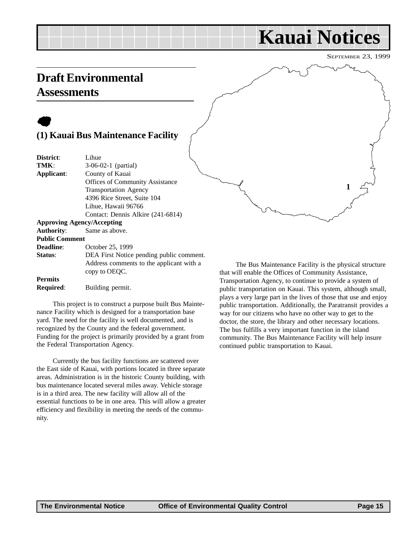#### Contact: Dennis Alkire (241-6814) **Approving Agency/Accepting**

| <b>Authority:</b> Same as above. |                                          |
|----------------------------------|------------------------------------------|
| <b>Public Comment</b>            |                                          |
| <b>Deadline:</b>                 | October 25, 1999                         |
| Status:                          | DEA First Notice pending public comment. |
|                                  | Address comments to the applicant with a |
|                                  | copy to OEQC.                            |
| <b>Permits</b>                   |                                          |

Transportation Agency 4396 Rice Street, Suite 104 Lihue, Hawaii 96766

**Required**: Building permit.

This project is to construct a purpose built Bus Maintenance Facility which is designed for a transportation base yard. The need for the facility is well documented, and is recognized by the County and the federal government. Funding for the project is primarily provided by a grant from the Federal Transportation Agency.

Currently the bus facility functions are scattered over the East side of Kauai, with portions located in three separate areas. Administration is in the historic County building, with bus maintenance located several miles away. Vehicle storage is in a third area. The new facility will allow all of the essential functions to be in one area. This will allow a greater efficiency and flexibility in meeting the needs of the community.

The Bus Maintenance Facility is the physical structure that will enable the Offices of Community Assistance, Transportation Agency, to continue to provide a system of public transportation on Kauai. This system, although small, plays a very large part in the lives of those that use and enjoy public transportation. Additionally, the Paratransit provides a way for our citizens who have no other way to get to the doctor, the store, the library and other necessary locations. The bus fulfills a very important function in the island community. The Bus Maintenance Facility will help insure continued public transportation to Kauai.

### **Draft Environmental Assessments**

 $\bullet$ 

**District**: Lihue

**TMK**: 3-06-02-1 (partial) **Applicant**: County of Kauai

SEPTEMBER 23, 1999 **Kauai Notices**

# <span id="page-14-0"></span>**(1) Kauai Bus Maintenance Facility** Offices of Community Assistance **1**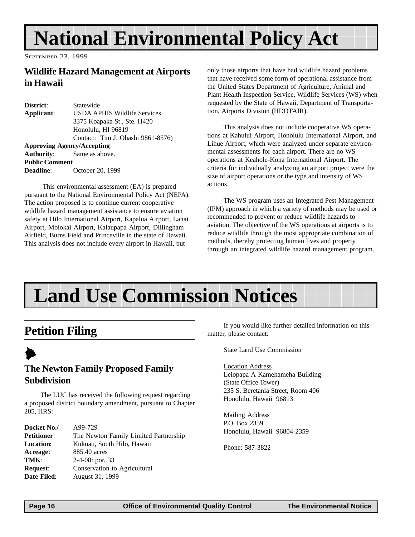# <span id="page-15-0"></span>**National Environmental Policy Act**

SEPTEMBER 23, 1999

### **Wildlife Hazard Management at Airports in Hawaii**

| District:             | Statewide                           |
|-----------------------|-------------------------------------|
| Applicant:            | <b>USDA APHIS Wildlife Services</b> |
|                       | 3375 Koapaka St., Ste. H420         |
|                       | Honolulu, HI 96819                  |
|                       | Contact: Tim J. Ohashi 9861-8576)   |
|                       | <b>Approving Agency/Accepting</b>   |
|                       | <b>Authority:</b> Same as above.    |
| <b>Public Comment</b> |                                     |
| <b>Deadline:</b>      | October 20, 1999                    |

 This environmental assessment (EA) is prepared pursuant to the National Environmental Policy Act (NEPA). The action proposed is to continue current cooperative wildlife hazard management assistance to ensure aviation safety at Hilo International Airport, Kapalua Airport, Lanai Airport, Molokai Airport, Kalaupapa Airport, Dillingham Airfield, Burns Field and Princeville in the state of Hawaii. This analysis does not include every airport in Hawaii, but

only those airports that have had wildlife hazard problems that have received some form of operational assistance from the United States Department of Agriculture, Animal and Plant Health Inspection Service, Wildlife Services (WS) when requested by the State of Hawaii, Department of Transportation, Airports Division (HDOTAIR).

This analysis does not include cooperative WS operations at Kahului Airport, Honolulu International Airport, and Lihue Airport, which were analyzed under separate environmental assessments for each airport. There are no WS operations at Keahole-Kona International Airport. The criteria for individually analyzing an airport project were the size of airport operations or the type and intensity of WS actions.

The WS program uses an Integrated Pest Management (IPM) approach in which a variety of methods may be used or recommended to prevent or reduce wildlife hazards to aviation. The objective of the WS operations at airports is to reduce wildlife through the most appropriate combination of methods, thereby protecting human lives and property through an integrated wildlife hazard management program.

# **Land Use Commission Notices**

### **Petition Filing**

### $\blacktriangleright$ **The Newton Family Proposed Family Subdivision**

The LUC has received the following request regarding a proposed district boundary amendment, pursuant to Chapter 205, HRS:

| Docket No./        | A99-729                               |
|--------------------|---------------------------------------|
| <b>Petitioner:</b> | The Newton Family Limited Partnership |
| <b>Location:</b>   | Kukuau, South Hilo, Hawaii            |
| Acreage:           | 885.40 acres                          |
| TMK:               | $2-4-08$ ; por. 33                    |
| <b>Request:</b>    | Conservation to Agricultural          |
| Date Filed:        | August 31, 1999                       |

If you would like further detailed information on this matter, please contact:

State Land Use Commission

Location Address Leiopapa A Kamehameha Building (State Office Tower) 235 S. Beretania Street, Room 406 Honolulu, Hawaii 96813

Mailing Address P.O. Box 2359 Honolulu, Hawaii 96804-2359

Phone: 587-3822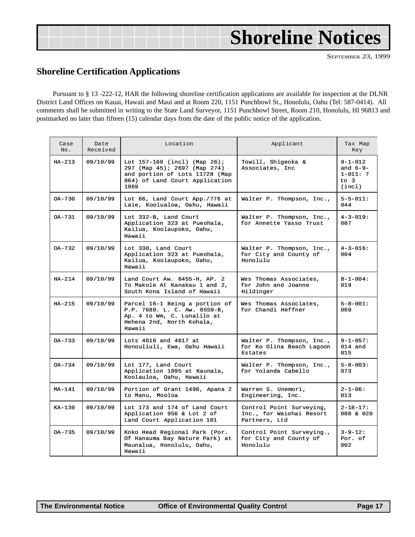<span id="page-16-0"></span>

|  | <b>Shoreline Notices</b> |  |
|--|--------------------------|--|
|  |                          |  |

### **Shoreline Certification Applications**

Pursuant to § 13 -222-12, HAR the following shoreline certification applications are available for inspection at the DLNR District Land Offices on Kauai, Hawaii and Maui and at Room 220, 1151 Punchbowl St., Honolulu, Oahu (Tel: 587-0414). All comments shall be submitted in writing to the State Land Surveyor, 1151 Punchbowl Street, Room 210, Honolulu, HI 96813 and postmarked no later than fifteen (15) calendar days from the date of the public notice of the application.

| Case<br>No. | Date<br>Received | Location                                                                                                                                      | Applicant                                                             | Tax Map<br>Key                                                  |
|-------------|------------------|-----------------------------------------------------------------------------------------------------------------------------------------------|-----------------------------------------------------------------------|-----------------------------------------------------------------|
| $HA-213$    | 09/10/99         | Lot $157-160$ (incl) (Map $26$ );<br>297 (Map 45); 2697 (Map 274)<br>and portion of Lots 11728 (Map<br>864) of Land Court Application<br>1069 | Towill, Shigeoka &<br>Associates, Inc.                                | $9 - 1 - 012$<br>and $6-9-$<br>$1 - 011: 7$<br>$to$ 3<br>(incl) |
| $OA-730$    | 09/10/99         | Lot 66, Land Court App./776 at<br>Laie, Koolualoa, Oahu, Hawaii                                                                               | Walter P. Thompson, Inc.,                                             | $5 - 5 - 011:$<br>044                                           |
| $OA - 731$  | 09/10/99         | Lot 332-B, Land Court<br>Application 323 at Pueohala,<br>Kailua, Koolaupoko, Oahu,<br>Hawaii                                                  | Walter P. Thompson, Inc.,<br>for Annette Yasso Trust                  | $4 - 3 - 019:$<br>007                                           |
| OA-732      | 09/10/99         | Lot 330, Land Court<br>Application 323 at Pueohala,<br>Kailua, Koolaupoko, Oahu,<br>Hawaii                                                    | Walter P. Thompson, Inc.,<br>for City and County of<br>Honolulu       | $4 - 3 - 016$ :<br>004                                          |
| $HA-214$    | 09/10/99         | Land Court Aw. 8455-H, AP. 2<br>To Makole At Kanakau 1 and 2,<br>South Kona Island of Hawaii                                                  | Wes Thomas Associates,<br>for John and Joanne<br>Hildinger            | $8 - 1 - 004$ :<br>019                                          |
| $HA-215$    | 09/10/99         | Parcel 16-1 Being a portion of<br>P.P. 7680. L. C. Aw. 8559-B,<br>Ap. 4 to Wm, C. Lunalilo at<br>Hehena 2nd, North Kohala,<br>Hawaii          | Wes Thomas Associates,<br>for Chandi Heffner                          | $5 - 8 - 001$ :<br>009                                          |
| $OA-733$    | 09/10/99         | Lots 4616 and 4617 at<br>Honouliuli, Ewa, Oahu Hawaii                                                                                         | Walter P. Thompson, Inc.,<br>for Ko Olina Beach Lagoon<br>Estates     | $9 - 1 - 057:$<br>$014$ and<br>015                              |
| OA-734      | 09/10/99         | Lot 177, Land Court<br>Application 1095 at Kaunala,<br>Koolauloa, Oahu, Hawaii                                                                | Walter P. Thompson, Inc.,<br>for Yolanda Cabello                      | $5 - 8 - 003$ :<br>073                                          |
| $MA-141$    | 09/10/99         | Portion of Grant 1498, Apana 2<br>to Manu, Mooloa                                                                                             | Warren S. Unemori,<br>Engineering, Inc.                               | $2 - 1 - 06:$<br>013                                            |
| KA-139      | 09/10/99         | Lot 173 and 174 of Land Court<br>Application 956 & Lot 2 of<br>Land Court Application 181                                                     | Control Point Surveying,<br>Inc., for Waiohai Resort<br>Partners, Ltd | $2 - 18 - 17$ :<br>008 & 020                                    |
| OA-735      | 09/10/99         | Koko Head Regional Park (Por.<br>Of Hanauma Bay Nature Park) at<br>Maunalua, Honolulu, Oahu,<br>Hawaii                                        | Control Point Surveying.,<br>for City and County of<br>Honolulu       | $3 - 9 - 12:$<br>Por. of<br>002                                 |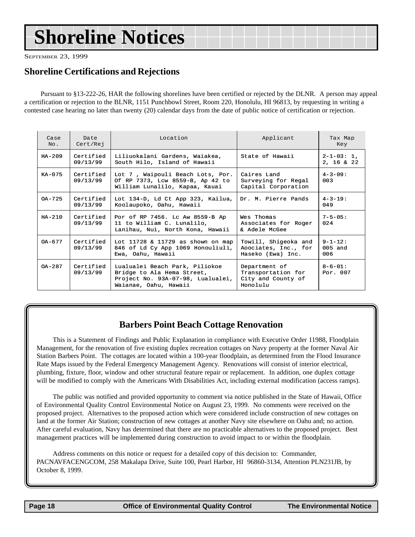# <span id="page-17-0"></span>**Shoreline Notices**

SEPTEMBER 23, 1999

### **Shoreline Certifications and Rejections**

Pursuant to §13-222-26, HAR the following shorelines have been certified or rejected by the DLNR. A person may appeal a certification or rejection to the BLNR, 1151 Punchbowl Street, Room 220, Honolulu, HI 96813, by requesting in writing a contested case hearing no later than twenty (20) calendar days from the date of public notice of certification or rejection.

| Case<br>No. | Date<br>Cert/Rej      | Location                                                                                                                   | Applicant                                                             | Tax Map<br>Key                   |
|-------------|-----------------------|----------------------------------------------------------------------------------------------------------------------------|-----------------------------------------------------------------------|----------------------------------|
| $HA - 209$  | Certified<br>09/13/99 | Liliuokalani Gardens, Waiakea,<br>South Hilo, Island of Hawaii                                                             | State of Hawaii                                                       | $2 - 1 - 03: 1$ ,<br>2, 16 & 22  |
| KA-075      | Certified<br>09/13/99 | Lot 7, Waipouli Beach Lots, Por.<br>Of RP 7373, Lcw 8559-B, Ap 42 to<br>William Lunalilo, Kapaa, Kauai                     | Caires Land<br>Surveying for Regal<br>Capital Corporation             | $4 - 3 - 09$ :<br>003            |
| $OA - 725$  | Certified<br>09/13/99 | Lot 134-D, Ld Ct App 323, Kailua,<br>Koolaupoko, Oahu, Hawaii                                                              | Dr. M. Pierre Pands                                                   | $4 - 3 - 19:$<br>049             |
| $HA - 210$  | Certified<br>09/13/99 | Por of RP 7456. Lc Aw 8559-B Ap<br>11 to William C. Lunalilo,<br>Lanihau, Nui, North Kona, Hawaii                          | Wes Thomas<br>Associates for Roger<br>& Adele McGee                   | $7 - 5 - 05:$<br>024             |
| $OA - 677$  | Certified<br>09/13/99 | Lot 11728 & 11729 as shown on map<br>846 of Ld Cy App 1069 Honouliuli,<br>Ewa, Oahu, Hawaii                                | Towill, Shigeoka and<br>Aoociates, Inc., for<br>Haseko (Ewa) Inc.     | $9 - 1 - 12$ :<br>005 and<br>006 |
| $OA - 287$  | Certified<br>09/13/99 | Lualualei Beach Park, Piliokoe<br>Bridge to Ala Hema Street,<br>Project No. 93A-07-98, Lualualei,<br>Waianae, Oahu, Hawaii | Department of<br>Transportation for<br>City and County of<br>Honolulu | $8 - 6 - 01$ :<br>Por. $007$     |

### **Barbers Point Beach Cottage Renovation**

This is a Statement of Findings and Public Explanation in compliance with Executive Order 11988, Floodplain Management, for the renovation of five existing duplex recreation cottages on Navy property at the former Naval Air Station Barbers Point. The cottages are located within a 100-year floodplain, as determined from the Flood Insurance Rate Maps issued by the Federal Emergency Management Agency. Renovations will consist of interior electrical, plumbing, fixture, floor, window and other structural feature repair or replacement. In addition, one duplex cottage will be modified to comply with the Americans With Disabilities Act, including external modification (access ramps).

The public was notified and provided opportunity to comment via notice published in the State of Hawaii, Office of Environmental Quality Control Environmental Notice on August 23, 1999*.* No comments were received on the proposed project. Alternatives to the proposed action which were considered include construction of new cottages on land at the former Air Station; construction of new cottages at another Navy site elsewhere on Oahu and; no action. After careful evaluation, Navy has determined that there are no practicable alternatives to the proposed project. Best management practices will be implemented during construction to avoid impact to or within the floodplain.

Address comments on this notice or request for a detailed copy of this decision to: Commander, PACNAVFACENGCOM, 258 Makalapa Drive, Suite 100, Pearl Harbor, HI 96860-3134, Attention PLN231JB, by October 8, 1999.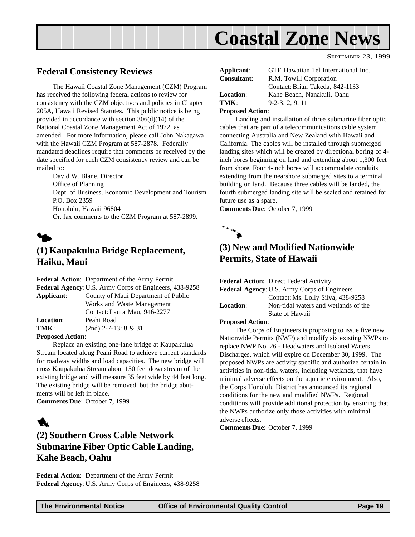<span id="page-18-0"></span>

### **Federal Consistency Reviews**

The Hawaii Coastal Zone Management (CZM) Program has received the following federal actions to review for consistency with the CZM objectives and policies in Chapter 205A, Hawaii Revised Statutes. This public notice is being provided in accordance with section 306(d)(14) of the National Coastal Zone Management Act of 1972, as amended. For more information, please call John Nakagawa with the Hawaii CZM Program at 587-2878. Federally mandated deadlines require that comments be received by the date specified for each CZM consistency review and can be mailed to:

David W. Blane, Director Office of Planning Dept. of Business, Economic Development and Tourism P.O. Box 2359 Honolulu, Hawaii 96804 Or, fax comments to the CZM Program at 587-2899.

### $\blacklozenge$ **(1) Kaupakulua Bridge Replacement, Haiku, Maui**

|                           | <b>Federal Action:</b> Department of the Army Permit   |
|---------------------------|--------------------------------------------------------|
|                           | Federal Agency: U.S. Army Corps of Engineers, 438-9258 |
| Applicant:                | County of Maui Department of Public                    |
|                           | Works and Waste Management                             |
|                           | Contact: Laura Mau, 946-2277                           |
| <b>Location:</b>          | Peahi Road                                             |
| TMK:                      | $(2nd)$ 2-7-13: 8 & 31                                 |
| Dramogod $\lambda$ ation. |                                                        |

#### **Proposed Action**:

Replace an existing one-lane bridge at Kaupakulua Stream located along Peahi Road to achieve current standards for roadway widths and load capacities. The new bridge will cross Kaupakulua Stream about 150 feet downstream of the existing bridge and will measure 35 feet wide by 44 feet long. The existing bridge will be removed, but the bridge abutments will be left in place.

**Comments Due**: October 7, 1999

## 1

### **(2) Southern Cross Cable Network Submarine Fiber Optic Cable Landing, Kahe Beach, Oahu**

**Federal Action**: Department of the Army Permit **Federal Agency**: U.S. Army Corps of Engineers, 438-9258

| Applicant:              | GTE Hawaiian Tel International Inc. |
|-------------------------|-------------------------------------|
| <b>Consultant:</b>      | R.M. Towill Corporation             |
|                         | Contact: Brian Takeda, 842-1133     |
| <b>Location:</b>        | Kahe Beach, Nanakuli, Oahu          |
| TMK:                    | $9-2-3: 2.9.11$                     |
| <b>Proposed Action:</b> |                                     |

#### Landing and installation of three submarine fiber optic cables that are part of a telecommunications cable system connecting Australia and New Zealand with Hawaii and California. The cables will be installed through submerged landing sites which will be created by directional boring of 4 inch bores beginning on land and extending about 1,300 feet from shore. Four 4-inch bores will accommodate conduits extending from the nearshore submerged sites to a terminal building on land. Because three cables will be landed, the fourth submerged landing site will be sealed and retained for future use as a spare.

SEPTEMBER 23, 1999

**Comments Due**: October 7, 1999



### **(3) New and Modified Nationwide Permits, State of Hawaii**

**Federal Action**: Direct Federal Activity

|                  | <b>Federal Agency: U.S. Army Corps of Engineers</b> |
|------------------|-----------------------------------------------------|
|                  | Contact: Ms. Lolly Silva, 438-9258                  |
| <b>Location:</b> | Non-tidal waters and wetlands of the                |
|                  | State of Hawaii                                     |
|                  |                                                     |

#### **Proposed Action**:

The Corps of Engineers is proposing to issue five new Nationwide Permits (NWP) and modify six existing NWPs to replace NWP No. 26 - Headwaters and Isolated Waters Discharges, which will expire on December 30, 1999. The proposed NWPs are activity specific and authorize certain in activities in non-tidal waters, including wetlands, that have minimal adverse effects on the aquatic environment. Also, the Corps Honolulu District has announced its regional conditions for the new and modified NWPs. Regional conditions will provide additional protection by ensuring that the NWPs authorize only those activities with minimal adverse effects.

**Comments Due**: October 7, 1999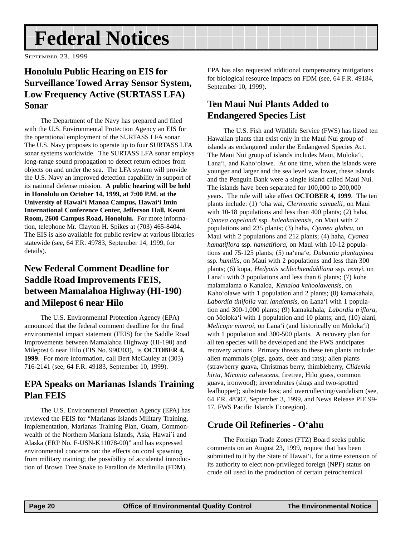# <span id="page-19-0"></span>**Federal Notices**

SEPTEMBER 23, 1999

### **Honolulu Public Hearing on EIS for Surveillance Towed Array Sensor System, Low Frequency Active (SURTASS LFA) Sonar**

The Department of the Navy has prepared and filed with the U.S. Environmental Protection Agency an EIS for the operational employment of the SURTASS LFA sonar. The U.S. Navy proposes to operate up to four SURTASS LFA sonar systems worldwide. The SURTASS LFA sonar employs long-range sound propagation to detect return echoes from objects on and under the sea. The LFA system will provide the U.S. Navy an improved detection capability in support of its national defense mission. **A public hearing will be held in Honolulu on October 14, 1999, at 7:00 P.M. at the University of Hawai'i Manoa Campus, Hawai'i Imin International Conference Center, Jefferson Hall, Keoni Room, 2600 Campus Road, Honolulu.** For more information, telephone Mr. Clayton H. Spikes at (703) 465-8404. The EIS is also available for public review at various libraries statewide (see, 64 F.R. 49783, September 14, 1999, for details).

### **New Federal Comment Deadline for Saddle Road Improvements FEIS, between Mamalahoa Highway (HI-190) and Milepost 6 near Hilo**

The U.S. Environmental Protection Agency (EPA) announced that the federal comment deadline for the final environmental impact statement (FEIS) for the Saddle Road Improvements between Mamalahoa Highway (HI-190) and Milepost 6 near Hilo (EIS No. 990303), is **OCTOBER 4, 1999**. For more information, call Bert McCauley at (303) 716-2141 (see, 64 F.R. 49183, September 10, 1999).

### **EPA Speaks on Marianas Islands Training Plan FEIS**

The U.S. Environmental Protection Agency (EPA) has reviewed the FEIS for "Marianas Islands Military Training, Implementation, Marianas Training Plan, Guam, Commonwealth of the Northern Mariana Islands, Asia, Hawai`i and Alaska (ERP No. F-USN-K11078-00)" and has expressed environmental concerns on: the effects on coral spawning from military training; the possibility of accidental introduction of Brown Tree Snake to Farallon de Medinilla (FDM).

EPA has also requested additional compensatory mitigations for biological resource impacts on FDM (see, 64 F.R. 49184, September 10, 1999).

### **Ten Maui Nui Plants Added to Endangered Species List**

The U.S. Fish and Wildlife Service (FWS) has listed ten Hawaiian plants that exist only in the Maui Nui group of islands as endangered under the Endangered Species Act. The Maui Nui group of islands includes Maui, Moloka'i, Lana'i, and Kaho'olawe. At one time, when the islands were younger and larger and the sea level was lower, these islands and the Penguin Bank were a single island called Maui Nui. The islands have been separated for 100,000 to 200,000 years. The rule will take effect **OCTOBER 4, 1999**. The ten plants include: (1) 'oha wai, *Clermontia samuelii*, on Maui with 10-18 populations and less than 400 plants; (2) haha, *Cyanea copelandi* ssp. *haleakalaensis*, on Maui with 2 populations and 235 plants; (3) haha, *Cyanea glabra*, on Maui with 2 populations and 212 plants; (4) haha, *Cyanea hamatiflora* ssp. *hamatiflora*, on Maui with 10-12 populations and 75-125 plants; (5) na'ena'e, *Dubautia plantaginea* ssp. *humilis*, on Maui with 2 populations and less than 300 plants; (6) kopa, *Hedyotis schlechtendahliana* ssp. *remyi*, on Lana'i with 3 populations and less than 6 plants; (7) kohe malamalama o Kanaloa, *Kanaloa kahoolawensis*, on Kaho'olawe with 1 population and 2 plants; (8) kamakahala, *Labordia tinifolia* var. *lanaiensis*, on Lana'i with 1 population and 300-1,000 plants; (9) kamakahala, *Labordia triflora*, on Moloka'i with 1 population and 10 plants; and, (10) alani, *Melicope munroi*, on Lana'i (and historically on Moloka'i) with 1 population and 300-500 plants. A recovery plan for all ten species will be developed and the FWS anticipates recovery actions. Primary threats to these ten plants include: alien mammals (pigs, goats, deer and rats); alien plants (strawberry guava, Christmas berry, thimbleberry, *Clidemia hirta*, *Miconia calvescens*, firetree, Hilo grass, common guava, ironwood); invertebrates (slugs and two-spotted leafhopper); substrate loss; and overcollecting/vandalism (see, 64 F.R. 48307, September 3, 1999, and News Release PIE 99- 17, FWS Pacific Islands Ecoregion).

### **Crude Oil Refineries - O'ahu**

The Foreign Trade Zones (FTZ) Board seeks public comments on an August 23, 1999, request that has been submitted to it by the State of Hawai'i, for a time extension of its authority to elect non-privileged foreign (NPF) status on crude oil used in the production of certain petrochemical